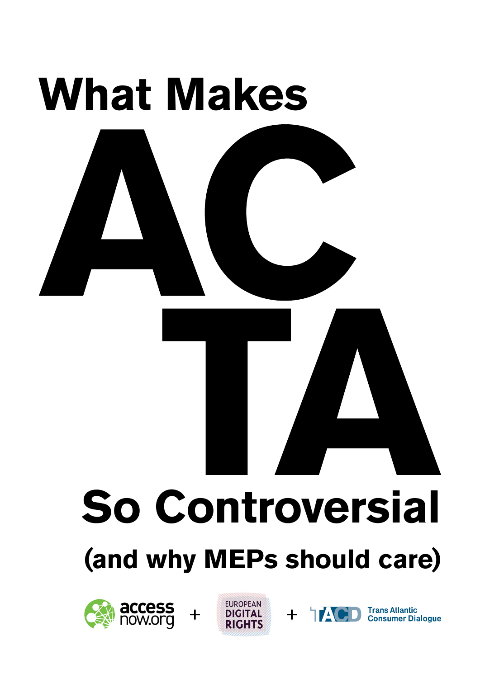

# **So Controversial**

# **(and why MEPs should care)**







**Trans Atlantic Consumer Dialogue**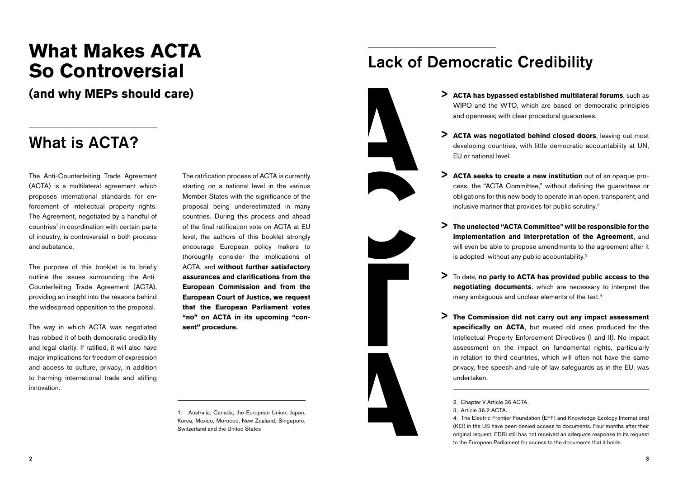## **What Makes ACTA So Controversial**

 $($ and why MEPs should care)

### What is ACTA?

The Anti-Counterfeiting Trade Agreement (ACTA) is a multilateral agreement which proposes international standards for enforcement of intellectual property rights. The Agreement, negotiated by a handful of countries<sup>1</sup> in coordination with certain parts of industry, is controversial in both process and substance.

The purpose of this booklet is to briefly outline the issues surrounding the Anti-Counterfeiting Trade Agreement (ACTA), providing an insight into the reasons behind the widespread opposition to the proposal.

The way in which ACTA was negotiated has robbed it of both democratic credibility and legal clarity. If ratified, it will also have major implications for freedom of expression and access to culture, privacy, in addition to harming international trade and stifling innovation.

The ratification process of ACTA is currently starting on a national level in the various Member States with the significance of the proposal being underestimated in many countries. During this process and ahead of the final ratification vote on ACTA at EU level, the authors of this booklet strongly encourage European policy makers to thoroughly consider the implications of ACTA, and **without further satisfactory assurances and clarifications from the European Commission and from the European Court of Justice, we request that the European Parliament votes "no" on ACTA in its upcoming "consent" procedure.**

1. Australia, Canada, the European Union, Japan, Korea, Mexico, Morocco, New Zealand, Singapore, Switzerland and the United States

### Lack of Democratic Credibility









- **ACTA has bypassed established multilateral forums**, such as WIPO and the WTO, which are based on democratic principles and openness; with clear procedural guarantees.
- > ACTA was negotiated behind closed doors, leaving out most developing countries, with little democratic accountability at UN, EU or national level.
- > ACTA seeks to create a new institution out of an opaque process, the "ACTA Committee," without defining the guarantees or obligations for this new body to operate in an open, transparent, and inclusive manner that provides for public scrutiny.2
- **The unelected "ACTA Committee" will be responsible for the**  > **implementation and interpretation of the Agreement**, and will even be able to propose amendments to the agreement after it is adopted without any public accountability.3
- To date, **no party to ACTA has provided public access to the**  > **negotiating documents**, which are necessary to interpret the many ambiguous and unclear elements of the text.4
- **The Commission did not carry out any impact assessment**  > **specifically on ACTA**, but reused old ones produced for the Intellectual Property Enforcement Directives (I and II). No impact assessment on the impact on fundamental rights, particularly in relation to third countries, which will often not have the same privacy, free speech and rule of law safeguards as in the EU, was undertaken.

3. Article 36.2 ACTA.

4. The Electric Frontier Foundation (EFF) and Knowledge Ecology International (KEI) in the US have been denied access to documents. Four months after their original request, EDRi still has not received an adequate response to its request to the European Parliament for access to the documents that it holds.

<sup>2.</sup> Chapter V Article 36 ACTA.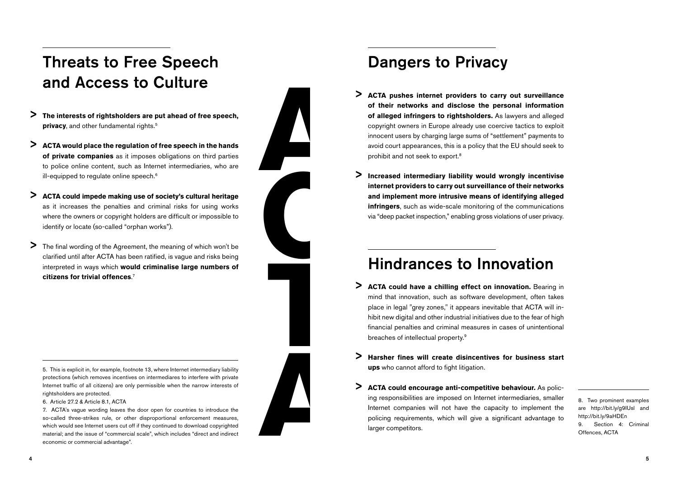### Threats to Free Speech and Access to Culture

- **The interests of rightsholders are put ahead of free speech, privacy**, and other fundamental rights.<sup>5</sup> >
- **ACTA would place the regulation of free speech in the hands of private companies** as it imposes obligations on third parties to police online content, such as Internet intermediaries, who are ill-equipped to requiate online speech.<sup>6</sup> >
- **ACTA could impede making use of society's cultural heritage** as it increases the penalties and criminal risks for using works where the owners or copyright holders are difficult or impossible to identify or locate (so-called "orphan works"). >
- The final wording of the Agreement, the meaning of which won't be clarified until after ACTA has been ratified, is vague and risks being interpreted in ways which **would criminalise large numbers of citizens for trivial offences**. 7 >



**A**

**C**

### Dangers to Privacy

- **ACTA pushes internet providers to carry out surveillance of their networks and disclose the personal information of alleged infringers to rightsholders.** As lawyers and alleged copyright owners in Europe already use coercive tactics to exploit innocent users by charging large sums of "settlement" payments to avoid court appearances, this is a policy that the EU should seek to prohibit and not seek to export.8 >
- **Increased intermediary liability would wrongly incentivise internet providers to carry out surveillance of their networks and implement more intrusive means of identifying alleged infringers**, such as wide-scale monitoring of the communications via "deep packet inspection," enabling gross violations of user privacy. >

### Hindrances to Innovation

- **ACTA could have a chilling effect on innovation.** Bearing in mind that innovation, such as software development, often takes place in legal "grey zones," it appears inevitable that ACTA will inhibit new digital and other industrial initiatives due to the fear of high financial penalties and criminal measures in cases of unintentional breaches of intellectual property.9 >
- **Harsher fines will create disincentives for business start ups** who cannot afford to fight litigation. >
- **ACTA could encourage anti-competitive behaviour.** As policing responsibilities are imposed on Internet intermediaries, smaller Internet companies will not have the capacity to implement the policing requirements, which will give a significant advantage to larger competitors. **A A A A A A A A CIA COMP CONSIDER (ACTA COMPT) A A A CIA COMPT A A CIA COMPT CONSIDER CONSIDER A CONSIDER CONSIDER CONSIDER CONSIDER CONSIDER CONSIDER CONSIDER** >

are http://bit.ly/g9IUsl and http://bit.ly/9aHDEn 9. Section 4: Criminal Offences, ACTA

5. This is explicit in, for example, footnote 13, where Internet intermediary liability protections (which removes incentives on intermediares to interfere with private Internet traffic of all citizens) are only permissible when the narrow interests of rightsholders are protected.

6. Article 27.2 & Article 8.1, ACTA

7. ACTA's vague wording leaves the door open for countries to introduce the so-called three-strikes rule, or other disproportional enforcement measures, which would see Internet users cut off if they continued to download copyrighted material; and the issue of "commercial scale", which includes "direct and indirect economic or commercial advantage".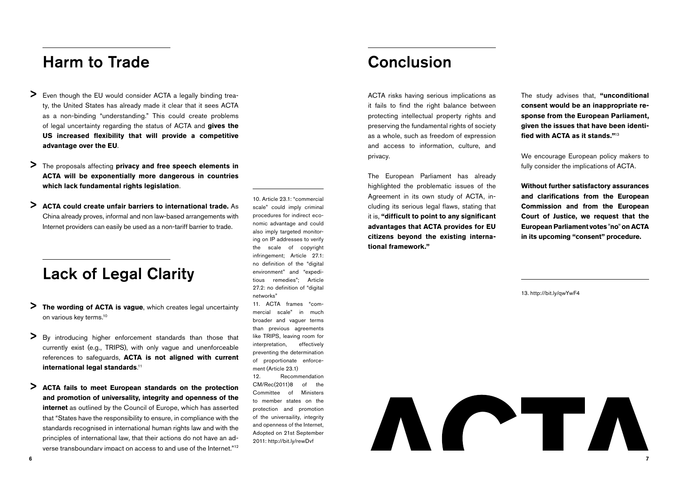### Harm to Trade

- Even though the EU would consider ACTA a legally binding treaty, the United States has already made it clear that it sees ACTA as a non-binding "understanding." This could create problems of legal uncertainty regarding the status of ACTA and **gives the US increased flexibility that will provide a competitive advantage over the EU**. >
- The proposals affecting **privacy and free speech elements in ACTA will be exponentially more dangerous in countries which lack fundamental rights legislation**. >
- **ACTA could create unfair barriers to international trade.** As China already proves, informal and non law-based arrangements with Internet providers can easily be used as a non-tariff barrier to trade. >

### Lack of Legal Clarity

- **The wording of ACTA is vague**, which creates legal uncertainty on various key terms.10 >
- By introducing higher enforcement standards than those that currently exist (e.g., TRIPS), with only vague and unenforceable references to safeguards, **ACTA is not aligned with current international legal standards**. 11 >
- **ACTA fails to meet European standards on the protection and promotion of universality, integrity and openness of the internet** as outlined by the Council of Europe, which has asserted that "States have the responsibility to ensure, in compliance with the standards recognised in international human rights law and with the principles of international law, that their actions do not have an adverse transboundary impact on access to and use of the Internet."12 >

10. Article 23.1: "commercial scale" could imply criminal procedures for indirect economic advantage and could also imply targeted monitoring on IP addresses to verify the scale of copyright infringement; Article 27.1: no definition of the "digital environment" and "expeditious remedies"; Article 27.2: no definition of "digital networks" 11. ACTA frames "com-

mercial scale" in much broader and vaguer terms than previous agreements like TRIPS, leaving room for interpretation, effectively preventing the determination of proportionate enforcement (Article 23.1)

12. Recommendation CM/Rec(2011)8 of the Committee of Ministers to member states on the protection and promotion of the universaility, integrity and openness of the Internet, Adopted on 21st September 2011: http://bit.ly/rewDvf

### Conclusion

ACTA risks having serious implications as it fails to find the right balance between protecting intellectual property rights and preserving the fundamental rights of society as a whole, such as freedom of expression and access to information, culture, and privacy.

The European Parliament has already highlighted the problematic issues of the Agreement in its own study of ACTA, including its serious legal flaws, stating that it is, **"difficult to point to any significant advantages that ACTA provides for EU citizens beyond the existing international framework."** 

The study advises that, **"unconditional consent would be an inappropriate response from the European Parliament, given the issues that have been identified with ACTA as it stands."**<sup>13</sup>

We encourage European policy makers to fully consider the implications of ACTA.

**Without further satisfactory assurances and clarifications from the European Commission and from the European Court of Justice, we request that the European Parliament votes "no" on ACTA in its upcoming "consent" procedure.**

13. http://bit.ly/qwYwF4